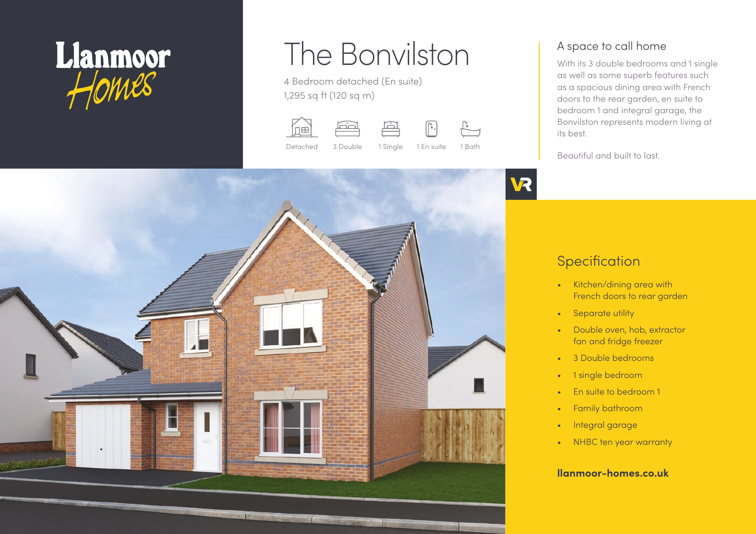

# The Bonvilston

4 Bedroom detached (En suite) 1,295 sq ft (120 sq m)









A space to call home

With its 3 double bedrooms and 1 single as well as some superb features such as a spacious dining area with French doors to the rear garden, en suite to bedroom 1 and integral garage, the Bonvilston represents modern living at its best.

Beautiful and built to last.

# **VR**

# **Specification**

- Kitchen/dining area with French doors to rear garden
- Separate utility
- Double oven, hob, extractor fan and fridge freezer
- 3 Double bedrooms
- 1 single bedroom
- En suite to bedroom 1
- Family bathroom
- Integral garage
- NHBC ten year warranty

### **llanmoor-homes.co.uk**